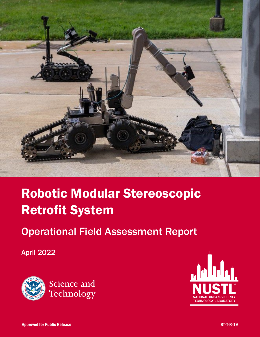

# Robotic Modular Stereoscopic Retrofit System

Operational Field Assessment Report

April 2022



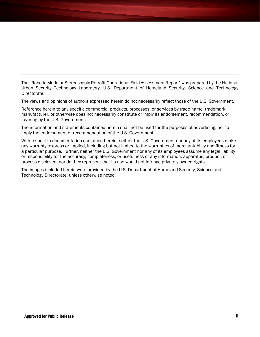The "Robotic Modular Stereoscopic Retrofit Operational Field Assessment Report*"* was prepared by the National Urban Security Technology Laboratory, U.S. Department of Homeland Security, Science and Technology Directorate.

The views and opinions of authors expressed herein do not necessarily reflect those of the U.S. Government.

Reference herein to any specific commercial products, processes, or services by trade name, trademark, manufacturer, or otherwise does not necessarily constitute or imply its endorsement, recommendation, or favoring by the U.S. Government.

The information and statements contained herein shall not be used for the purposes of advertising, nor to imply the endorsement or recommendation of the U.S. Government.

With respect to documentation contained herein, neither the U.S. Government nor any of its employees make any warranty, express or implied, including but not limited to the warranties of merchantability and fitness for a particular purpose. Further, neither the U.S. Government nor any of its employees assume any legal liability or responsibility for the accuracy, completeness, or usefulness of any information, apparatus, product, or process disclosed; nor do they represent that its use would not infringe privately owned rights.

The images included herein were provided by the U.S. Department of Homeland Security, Science and Technology Directorate, unless otherwise noted.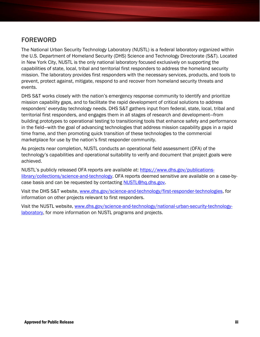# FOREWORD

The National Urban Security Technology Laboratory (NUSTL) is a federal laboratory organized within the U.S. Department of Homeland Security (DHS) Science and Technology Directorate (S&T). Located in New York City, NUSTL is the only national laboratory focused exclusively on supporting the capabilities of state, local, tribal and territorial first responders to address the homeland security mission. The laboratory provides first responders with the necessary services, products, and tools to prevent, protect against, mitigate, respond to and recover from homeland security threats and events.

DHS S&T works closely with the nation's emergency response community to identify and prioritize mission capability gaps, and to facilitate the rapid development of critical solutions to address responders' everyday technology needs. DHS S&T gathers input from federal, state, local, tribal and territorial first responders, and engages them in all stages of research and development—from building prototypes to operational testing to transitioning tools that enhance safety and performance in the field—with the goal of advancing technologies that address mission capability gaps in a rapid time frame, and then promoting quick transition of these technologies to the commercial marketplace for use by the nation's first responder community.

As projects near completion, NUSTL conducts an operational field assessment (OFA) of the technology's capabilities and operational suitability to verify and document that project goals were achieved.

NUSTL's publicly released OFA reports are available at: [https://www.dhs.gov/publications](https://www.dhs.gov/publications-library/collections/science-and-technology)[library/collections/science-and-technology.](https://www.dhs.gov/publications-library/collections/science-and-technology) OFA reports deemed sensitive are available on a case-by-case basis and can be requested by contacting [NUSTL@hq.dhs.gov.](mailto:NUSTL@hq.dhs.gov)

Visit the DHS S&T website, [www.dhs.gov/science-and-technology/first-responder-technologies,](http://www.dhs.gov/science-and-technology/first-responder-technologies) for information on other projects relevant to first responders.

Visit the NUSTL website, [www.dhs.gov/science-and-technology/national-urban-security-technology](https://www.dhs.gov/science-and-technology/national-urban-security-technology-laboratory)**laboratory**, for more information on NUSTL programs and projects.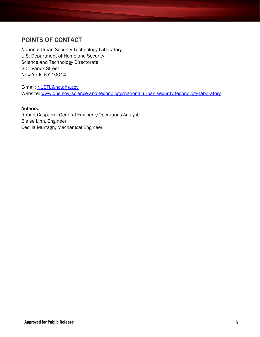# POINTS OF CONTACT

National Urban Security Technology Laboratory U.S. Department of Homeland Security Science and Technology Directorate 201 Varick Street New York, NY 10014

E-mail: [NUSTL@hq.dhs.gov](mailto:NUSTL@hq.dhs.gov) Website: [www.dhs.gov/science-and-technology/national-urban-security-technology-laboratory](https://www.dhs.gov/science-and-technology/first-responder-technologies)

#### Authors:

Robert Casparro, General Engineer/Operations Analyst Blaise Linn, Engineer Cecilia Murtagh, Mechanical Engineer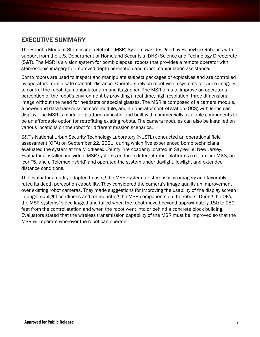# EXECUTIVE SUMMARY

The Robotic Modular Stereoscopic Retrofit (MSR) System was designed by Honeybee Robotics with support from the U.S. Department of Homeland Security's (DHS) Science and Technology Directorate (S&T). The MSR is a vision system for bomb disposal robots that provides a remote operator with stereoscopic imagery for improved depth perception and robot manipulation assistance.

Bomb robots are used to inspect and manipulate suspect packages or explosives and are controlled by operators from a safe standoff distance. Operators rely on robot vision systems for video imagery to control the robot, its manipulator arm and its gripper. The MSR aims to improve an operator's perception of the robot's environment by providing a real-time, high-resolution, three-dimensional image without the need for headsets or special glasses. The MSR is composed of a camera module, a power and data transmission core module, and an operator control station (OCS) with lenticular display. The MSR is modular, platform-agnostic, and built with commercially available components to be an affordable option for retrofitting existing robots. The camera modules can also be installed on various locations on the robot for different mission scenarios.

S&T's National Urban Security Technology Laboratory (NUSTL) conducted an operational field assessment (OFA) on September 22, 2021, during which five experienced bomb technicians evaluated the system at the Middlesex County Fire Academy located in Sayreville, New Jersey. Evaluators installed individual MSR systems on three different robot platforms (i.e., an Icor MK3, an Icor T5, and a Telemax Hybrid) and operated the system under daylight, lowlight and extended distance conditions.

The evaluators readily adapted to using the MSR system for stereoscopic imagery and favorably rated its depth perception capability. They considered the camera's image quality an improvement over existing robot cameras. They made suggestions for improving the usability of the display screen in bright sunlight conditions and for mounting the MSR components on the robots. During the OFA, the MSR systems' video lagged and failed when the robot moved beyond approximately 150 to 250 feet from the control station and when the robot went into or behind a concrete block building. Evaluators stated that the wireless transmission capability of the MSR must be improved so that the MSR will operate wherever the robot can operate.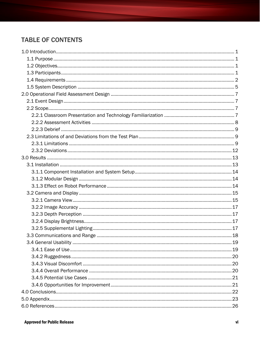# **TABLE OF CONTENTS**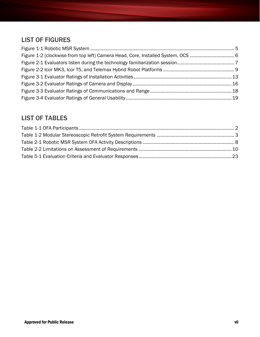# LIST OF FIGURES

# LIST OF TABLES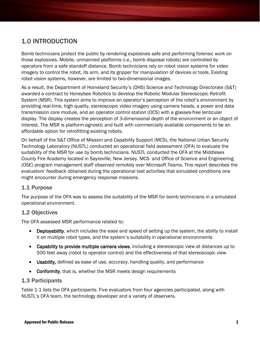# <span id="page-7-0"></span>1.0 INTRODUCTION

Bomb technicians protect the public by rendering explosives safe and performing forensic work on those explosives. Mobile, unmanned platforms (i.e., bomb disposal robots) are controlled by operators from a safe standoff distance. Bomb technicians rely on robot vision systems for video imagery to control the robot, its arm, and its gripper for manipulation of devices or tools. Existing robot vision systems, however, are limited to two-dimensional images.

As a result, the Department of Homeland Security's (DHS) Science and Technology Directorate (S&T) awarded a contract to Honeybee Robotics to develop the Robotic Modular Stereoscopic Retrofit System (MSR). This system aims to improve an operator's perception of the robot's environment by providing real-time, high quality, stereoscopic video imagery using camera heads, a power and data transmission core module, and an operator control station (OCS) with a glasses-free lenticular display. The display creates the perception of 3-dimensional depth of the environment or an object of interest. The MSR is platform-agnostic and built with commercially available components to be an affordable option for retrofitting existing robots.

On behalf of the S&T Office of Mission and Capability Support (MCS), the National Urban Security Technology Laboratory (NUSTL) conducted an operational field assessment (OFA) to evaluate the suitability of the MSR for use by bomb technicians. NUSTL conducted the OFA at the Middlesex County Fire Academy located in Sayreville, New Jersey. MCS and Office of Science and Engineering (OSE) program management staff observed remotely over Microsoft Teams. This report describes the evaluators' feedback obtained during the operational test activities that simulated conditions one might encounter during emergency response missions.

#### <span id="page-7-1"></span>1.1 Purpose

The purpose of the OFA was to assess the suitability of the MSR for bomb technicians in a simulated operational environment.

## <span id="page-7-2"></span>1.2 Objectives

The OFA assessed MSR performance related to:

- Deployability, which includes the ease and speed of setting up the system, the ability to install it on multiple robot types, and the system's suitability in operational environments
- Capability to provide multiple camera views, including a stereoscopic view at distances up to 500 feet away (robot to operator control) and the effectiveness of that stereoscopic view
- Usability, defined as ease of use, accuracy, handling quality, and performance
- Conformity, that is, whether the MSR meets design requirements

#### <span id="page-7-3"></span>1.3 Participants

[Table 1-1](#page-8-1) lists the OFA participants. Five evaluators from four agencies participated, along with NUSTL's OFA team, the technology developer and a variety of observers.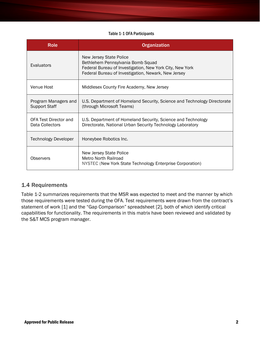#### Table 1-1 OFA Participants

<span id="page-8-1"></span>

| <b>Role</b>                                     | <b>Organization</b>                                                                                                                                                             |
|-------------------------------------------------|---------------------------------------------------------------------------------------------------------------------------------------------------------------------------------|
| Evaluators                                      | New Jersey State Police<br>Bethlehem Pennsylvania Bomb Squad<br>Federal Bureau of Investigation, New York City, New York<br>Federal Bureau of Investigation, Newark, New Jersey |
| Venue Host                                      | Middlesex County Fire Academy, New Jersey                                                                                                                                       |
| Program Managers and<br><b>Support Staff</b>    | U.S. Department of Homeland Security, Science and Technology Directorate<br>(through Microsoft Teams)                                                                           |
| <b>OFA Test Director and</b><br>Data Collectors | U.S. Department of Homeland Security, Science and Technology<br>Directorate, National Urban Security Technology Laboratory                                                      |
| <b>Technology Developer</b>                     | Honeybee Robotics Inc.                                                                                                                                                          |
| <b>Observers</b>                                | New Jersey State Police<br><b>Metro North Railroad</b><br>NYSTEC (New York State Technology Enterprise Corporation)                                                             |

#### <span id="page-8-0"></span>1.4 Requirements

[Table 1-2](#page-9-0) summarizes requirements that the MSR was expected to meet and the manner by which those requirements were tested during the OFA. Test requirements were drawn from the contract's statement of work [\[1\]](#page-32-1) and the "Gap Comparison" spreadsheet [\[2\]](#page-32-1)*,* both of which identify critical capabilities for functionality. The requirements in this matrix have been reviewed and validated by the S&T MCS program manager.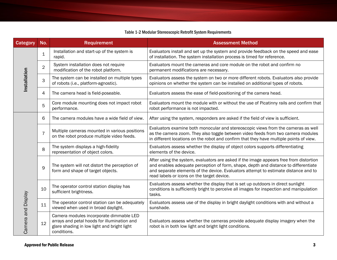<span id="page-9-0"></span>

<span id="page-9-12"></span><span id="page-9-11"></span><span id="page-9-10"></span><span id="page-9-9"></span><span id="page-9-8"></span><span id="page-9-7"></span><span id="page-9-6"></span><span id="page-9-5"></span><span id="page-9-4"></span><span id="page-9-3"></span><span id="page-9-2"></span><span id="page-9-1"></span>

| <b>Category</b>    | No.            | <b>Requirement</b>                                                                                                                                   | <b>Assessment Method</b>                                                                                                                                                                                                                                                                                           |  |  |  |
|--------------------|----------------|------------------------------------------------------------------------------------------------------------------------------------------------------|--------------------------------------------------------------------------------------------------------------------------------------------------------------------------------------------------------------------------------------------------------------------------------------------------------------------|--|--|--|
| Installation       | $\mathbf 1$    | Installation and start-up of the system is<br>rapid.                                                                                                 | Evaluators install and set up the system and provide feedback on the speed and ease<br>of installation. The system installation process is timed for reference.                                                                                                                                                    |  |  |  |
|                    | $\overline{2}$ | System installation does not require<br>modification of the robot platform.                                                                          | Evaluators mount the cameras and core module on the robot and confirm no<br>permanent modifications are necessary.                                                                                                                                                                                                 |  |  |  |
|                    | 3              | The system can be installed on multiple types<br>of robots (i.e., platform-agnostic).                                                                | Evaluators assess the system on two or more different robots. Evaluators also provide<br>opinions on whether the system can be installed on additional types of robots.                                                                                                                                            |  |  |  |
|                    | 4              | The camera head is field-poseable.                                                                                                                   | Evaluators assess the ease of field-positioning of the camera head.                                                                                                                                                                                                                                                |  |  |  |
|                    | 5              | Core module mounting does not impact robot<br>performance.                                                                                           | Evaluators mount the module with or without the use of Picatinny rails and confirm that<br>robot performance is not impacted.                                                                                                                                                                                      |  |  |  |
|                    | 6              | The camera modules have a wide field of view.                                                                                                        | After using the system, responders are asked if the field of view is sufficient.                                                                                                                                                                                                                                   |  |  |  |
|                    | $\overline{7}$ | Multiple cameras mounted in various positions<br>on the robot produce multiple video feeds.                                                          | Evaluators examine both monocular and stereoscopic views from the cameras as well<br>as the camera zoom. They also toggle between video feeds from two camera modules<br>in different locations on the robot and confirm that they have multiple points of view.                                                   |  |  |  |
|                    | 8              | The system displays a high-fidelity<br>representation of object colors.                                                                              | Evaluators assess whether the display of object colors supports differentiating<br>elements of the device.                                                                                                                                                                                                         |  |  |  |
| Camera and Display | 9              | The system will not distort the perception of<br>form and shape of target objects.                                                                   | After using the system, evaluators are asked if the image appears free from distortion<br>and enables adequate perception of form, shape, depth and distance to differentiate<br>and separate elements of the device. Evaluators attempt to estimate distance and to<br>read labels or icons on the target device. |  |  |  |
|                    | 10             | The operator control station display has<br>sufficient brightness.                                                                                   | Evaluators assess whether the display that is set up outdoors in direct sunlight<br>conditions is sufficiently bright to perceive all images for inspection and manipulation<br>tasks.                                                                                                                             |  |  |  |
|                    | 11             | The operator control station can be adequately<br>viewed when used in broad daylight.                                                                | Evaluators assess use of the display in bright daylight conditions with and without a<br>sunshade.                                                                                                                                                                                                                 |  |  |  |
|                    | 12             | Camera modules incorporate dimmable LED<br>arrays and petal hoods for illumination and<br>glare shading in low light and bright light<br>conditions. | Evaluators assess whether the cameras provide adequate display imagery when the<br>robot is in both low light and bright light conditions.                                                                                                                                                                         |  |  |  |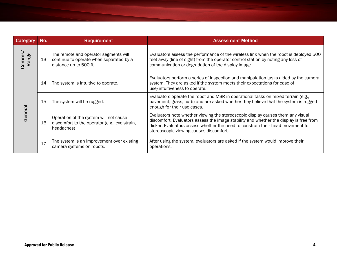<span id="page-10-4"></span><span id="page-10-3"></span><span id="page-10-2"></span><span id="page-10-1"></span><span id="page-10-0"></span>

| <b>Category</b> | No. | <b>Requirement</b>                                                                                         | <b>Assessment Method</b>                                                                                                                                                                                                                                                                                 |  |  |  |
|-----------------|-----|------------------------------------------------------------------------------------------------------------|----------------------------------------------------------------------------------------------------------------------------------------------------------------------------------------------------------------------------------------------------------------------------------------------------------|--|--|--|
| Comms/<br>Range | 13  | The remote and operator segments will<br>continue to operate when separated by a<br>distance up to 500 ft. | Evaluators assess the performance of the wireless link when the robot is deployed 500<br>feet away (line of sight) from the operator control station by noting any loss of<br>communication or degradation of the display image.                                                                         |  |  |  |
| General         | 14  | The system is intuitive to operate.                                                                        | Evaluators perform a series of inspection and manipulation tasks aided by the camera<br>system. They are asked if the system meets their expectations for ease of<br>use/intuitiveness to operate.                                                                                                       |  |  |  |
|                 | 15  | The system will be rugged.                                                                                 | Evaluators operate the robot and MSR in operational tasks on mixed terrain (e.g.,<br>pavement, grass, curb) and are asked whether they believe that the system is rugged<br>enough for their use cases.                                                                                                  |  |  |  |
|                 | 16  | Operation of the system will not cause<br>discomfort to the operator (e.g., eye strain,<br>headaches)      | Evaluators note whether viewing the stereoscopic display causes them any visual<br>discomfort. Evaluators assess the image stability and whether the display is free from<br>flicker. Evaluators assess whether the need to constrain their head movement for<br>stereoscopic viewing causes discomfort. |  |  |  |
|                 | 17  | The system is an improvement over existing<br>camera systems on robots.                                    | After using the system, evaluators are asked if the system would improve their<br>operations.                                                                                                                                                                                                            |  |  |  |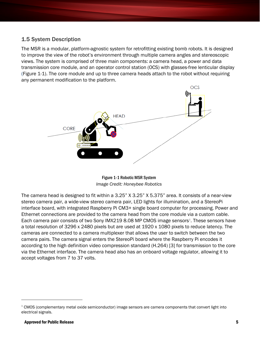# <span id="page-11-0"></span>1.5 System Description

The MSR is a modular, platform-agnostic system for retrofitting existing bomb robots. It is designed to improve the view of the robot's environment through multiple camera angles and stereoscopic views. The system is comprised of three main components: a camera head, a power and data transmission core module, and an operator control station (OCS) with glasses-free lenticular display (Figure 1-1). The core module and up to three camera heads attach to the robot without requiring any permanent modification to the platform.



Figure 1-1 Robotic MSR System *Image Credit: Honeybee Robotics*

<span id="page-11-1"></span>The camera head is designed to fit within a 3.25" X 3.25" X 5.375" area. It consists of a near-view stereo camera pair, a wide-view stereo camera pair, LED lights for illumination, and a StereoPi interface board, with integrated Raspberry Pi CM3+ single board computer for processing. Power and Ethernet connections are provided to the camera head from the core module via a custom cable. Each camera pair consists of two Sony IMX219 8.08 MP CMOS image sensors<sup>1</sup>. These sensors have a total resolution of 3296 x 2480 pixels but are used at 1920 x 1080 pixels to reduce latency. The cameras are connected to a camera multiplexer that allows the user to switch between the two camera pairs. The camera signal enters the StereoPi board where the Raspberry Pi encodes it according to the high definition video compression standard (H.264) [\[3\]](#page-32-1) for transmission to the core via the Ethernet interface. The camera head also has an onboard voltage regulator, allowing it to accept voltages from 7 to 37 volts.

 $1$  CMOS (complementary metal oxide semiconductor) image sensors are camera components that convert light into electrical signals.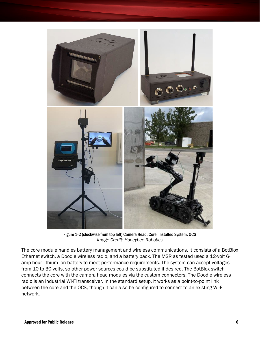<span id="page-12-0"></span>

Figure 1-2 (clockwise from top left) Camera Head, Core, Installed System, OCS *Image Credit: Honeybee Robotics*

The core module handles battery management and wireless communications. It consists of a BotBlox Ethernet switch, a Doodle wireless radio, and a battery pack. The MSR as tested used a 12-volt 6 amp-hour lithium-ion battery to meet performance requirements. The system can accept voltages from 10 to 30 volts, so other power sources could be substituted if desired. The BotBlox switch connects the core with the camera head modules via the custom connectors. The Doodle wireless radio is an industrial Wi-Fi transceiver. In the standard setup, it works as a point-to-point link between the core and the OCS, though it can also be configured to connect to an existing Wi-Fi network.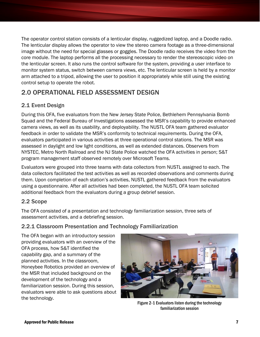<span id="page-13-4"></span>The operator control station consists of a lenticular display, ruggedized laptop, and a Doodle radio. The lenticular display allows the operator to view the stereo camera footage as a three-dimensional image without the need for special glasses or goggles. The Doodle radio receives the video from the core module. The laptop performs all the processing necessary to render the stereoscopic video on the lenticular screen. It also runs the control software for the system, providing a user interface to monitor system status, switch between camera views, etc. The lenticular screen is held by a monitor arm attached to a tripod, allowing the user to position it appropriately while still using the existing control setup to operate the robot.

# <span id="page-13-0"></span>2.0 OPERATIONAL FIELD ASSESSMENT DESIGN

# <span id="page-13-1"></span>2.1 Event Design

During this OFA, five evaluators from the New Jersey State Police, Bethlehem Pennsylvania Bomb Squad and the Federal Bureau of Investigations assessed the MSR's capability to provide enhanced camera views, as well as its usability, and deployability. The NUSTL OFA team gathered evaluator feedback in order to validate the MSR's conformity to technical requirements. During the OFA, evaluators participated in various activities at three operational control stations. The MSR was assessed in daylight and low light conditions, as well as extended distances. Observers from NYSTEC, Metro North Railroad and the NJ State Police watched the OFA activities in person; S&T program management staff observed remotely over Microsoft Teams.

Evaluators were grouped into three teams with data collectors from NUSTL assigned to each. The data collectors facilitated the test activities as well as recorded observations and comments during them. Upon completion of each station's activities, NUSTL gathered feedback from the evaluators using a questionnaire. After all activities had been completed, the NUSTL OFA team solicited additional feedback from the evaluators during a group debrief session.

# <span id="page-13-2"></span>2.2 Scope

The OFA consisted of a presentation and technology familiarization session, three sets of assessment activities, and a debriefing session.

# <span id="page-13-3"></span>2.2.1 Classroom Presentation and Technology Familiarization

The OFA began with an introductory session providing evaluators with an overview of the OFA process, how S&T identified the capability gap, and a summary of the planned activities. In the classroom, Honeybee Robotics provided an overview of the MSR that included background on the development of the technology and a familiarization session. During this session, evaluators were able to ask questions about the technology.



Figure 2-1 Evaluators listen during the technology familiarization session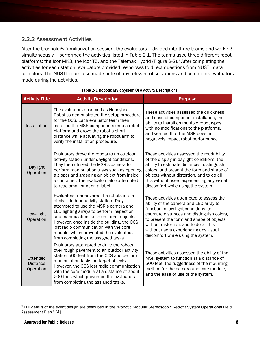## <span id="page-14-0"></span>2.2.2 Assessment Activities

After the technology familiarization session, the evaluators – divided into three teams and working simultaneously – performed the activities listed in [Table 2-1](#page-14-1). The teams used three different robot platforms: the Icor MK3, the Icor T5, and the Telemax Hybrid [\(Figure 2-2\)](#page-15-4).<sup>2</sup> After completing the activities for each station, evaluators provided responses to direct questions from NUSTL data collectors. The NUSTL team also made note of any relevant observations and comments evaluators made during the activities.

<span id="page-14-1"></span>

| <b>Activity Title</b>                    | <b>Activity Description</b>                                                                                                                                                                                                                                                                                                                                                                    | <b>Purpose</b>                                                                                                                                                                                                                                                                                                                                |  |  |
|------------------------------------------|------------------------------------------------------------------------------------------------------------------------------------------------------------------------------------------------------------------------------------------------------------------------------------------------------------------------------------------------------------------------------------------------|-----------------------------------------------------------------------------------------------------------------------------------------------------------------------------------------------------------------------------------------------------------------------------------------------------------------------------------------------|--|--|
| Installation                             | The evaluators observed as Honeybee<br>Robotics demonstrated the setup procedure<br>for the OCS. Each evaluator team then<br>installed the MSR components onto a robot<br>platform and drove the robot a short<br>distance while actuating the robot arm to<br>verify the installation procedure.                                                                                              | These activities assessed the quickness<br>and ease of component installation, the<br>ability to install on multiple robot types<br>with no modifications to the platforms,<br>and verified that the MSR does not<br>negatively impact robot performance.                                                                                     |  |  |
| Daylight<br>Operation                    | Evaluators drove the robots to an outdoor<br>activity station under daylight conditions.<br>They then utilized the MSR's camera to<br>perform manipulation tasks such as opening<br>a zipper and grasping an object from inside<br>a container. The evaluators also attempted<br>to read small print on a label.                                                                               | These activities assessed the readability<br>of the display in daylight conditions, the<br>ability to estimate distances, distinguish<br>colors, and present the form and shape of<br>objects without distortion, and to do all<br>this without users experiencing any visual<br>discomfort while using the system.                           |  |  |
| Low-Light<br>Operation                   | Evaluators maneuvered the robots into a<br>dimly-lit indoor activity station. They<br>attempted to use the MSR's camera and<br>LED lighting arrays to perform inspection<br>and manipulation tasks on target objects.<br>However, once inside the building, the OCS<br>lost radio communication with the core<br>module, which prevented the evaluators<br>from completing the assigned tasks. | These activities attempted to assess the<br>ability of the camera and LED array to<br>function in low-light conditions, to<br>estimate distances and distinguish colors,<br>to present the form and shape of objects<br>without distortion, and to do all this<br>without users experiencing any visual<br>discomfort while using the system. |  |  |
| Extended<br><b>Distance</b><br>Operation | Evaluators attempted to drive the robots<br>over rough pavement to an outdoor activity<br>station 500 feet from the OCS and perform<br>manipulation tasks on target objects.<br>However, the OCS lost radio communication<br>with the core module at a distance of about<br>200 feet, which prevented the evaluators<br>from completing the assigned tasks.                                    | These activities assessed the ability of the<br>MSR system to function at a distance of<br>500 feet, the ruggedness of the mounting<br>method for the camera and core module,<br>and the ease of use of the system.                                                                                                                           |  |  |

#### Table 2-1 Robotic MSR System OFA Activity Descriptions

<sup>&</sup>lt;sup>2</sup> Full details of the event design are described in the "Robotic Modular Stereoscopic Retrofit System Operational Field Assessment Plan." [\[4\]](#page-32-1)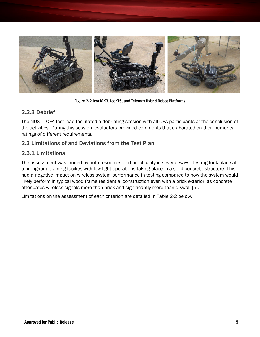<span id="page-15-3"></span>

Figure 2-2 Icor MK3, Icor T5, and Telemax Hybrid Robot Platforms

#### <span id="page-15-4"></span><span id="page-15-0"></span>2.2.3 Debrief

The NUSTL OFA test lead facilitated a debriefing session with all OFA participants at the conclusion of the activities. During this session, evaluators provided comments that elaborated on their numerical ratings of different requirements.

## <span id="page-15-1"></span>2.3 Limitations of and Deviations from the Test Plan

#### <span id="page-15-2"></span>2.3.1 Limitations

The assessment was limited by both resources and practicality in several ways. Testing took place at a firefighting training facility, with low-light operations taking place in a solid concrete structure. This had a negative impact on wireless system performance in testing compared to how the system would likely perform in typical wood frame residential construction even with a brick exterior, as concrete attenuates wireless signals more than brick and significantly more than drywall [\[5\]](#page-32-1).

Limitations on the assessment of each criterion are detailed in [Table 2-2](#page-16-0) below.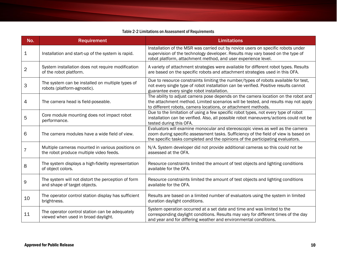<span id="page-16-0"></span>

| No.            | <b>Requirement</b>                                                                          | <b>Limitations</b>                                                                                                                                                                                                                                      |
|----------------|---------------------------------------------------------------------------------------------|---------------------------------------------------------------------------------------------------------------------------------------------------------------------------------------------------------------------------------------------------------|
| $\mathbf 1$    | Installation and start-up of the system is rapid.                                           | Installation of the MSR was carried out by novice users on specific robots under<br>supervision of the technology developer. Results may vary based on the type of<br>robot platform, attachment method, and user experience level.                     |
| $\overline{2}$ | System installation does not require modification<br>of the robot platform.                 | A variety of attachment strategies were available for different robot types. Results<br>are based on the specific robots and attachment strategies used in this OFA.                                                                                    |
| 3              | The system can be installed on multiple types of<br>robots (platform-agnostic).             | Due to resource constraints limiting the number/types of robots available for test,<br>not every single type of robot installation can be verified. Positive results cannot<br>guarantee every single robot installation.                               |
| $\overline{4}$ | The camera head is field-poseable.                                                          | The ability to adjust camera pose depends on the camera location on the robot and<br>the attachment method. Limited scenarios will be tested, and results may not apply<br>to different robots, camera locations, or attachment methods.                |
| 5              | Core module mounting does not impact robot<br>performance.                                  | Due to the limitation of using a few specific robot types, not every type of robot<br>installation can be verified. Also, all possible robot maneuvers/actions could not be<br>tested during this OFA.                                                  |
| 6              | The camera modules have a wide field of view.                                               | Evaluators will examine monocular and stereoscopic views as well as the camera<br>zoom during specific assessment tasks. Sufficiency of the field of view is based on<br>the specific tasks completed and the opinions of the participating evaluators. |
| $\overline{7}$ | Multiple cameras mounted in various positions on<br>the robot produce multiple video feeds. | N/A. System developer did not provide additional cameras so this could not be<br>assessed at the OFA.                                                                                                                                                   |
| 8              | The system displays a high-fidelity representation<br>of object colors.                     | Resource constraints limited the amount of test objects and lighting conditions<br>available for the OFA.                                                                                                                                               |
| 9              | The system will not distort the perception of form<br>and shape of target objects.          | Resource constraints limited the amount of test objects and lighting conditions<br>available for the OFA.                                                                                                                                               |
| 10             | The operator control station display has sufficient<br>brightness.                          | Results are based on a limited number of evaluators using the system in limited<br>duration daylight conditions.                                                                                                                                        |
| 11             | The operator control station can be adequately<br>viewed when used in broad daylight.       | System operation occurred at a set date and time and was limited to the<br>corresponding daylight conditions. Results may vary for different times of the day<br>and year and for differing weather and environmental conditions.                       |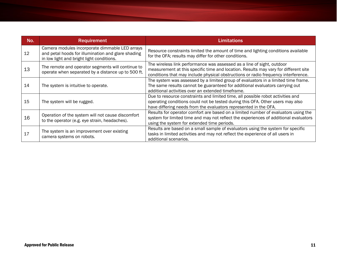| No. | <b>Requirement</b>                                                                                                                                | <b>Limitations</b>                                                                                                                                                                                                                                  |
|-----|---------------------------------------------------------------------------------------------------------------------------------------------------|-----------------------------------------------------------------------------------------------------------------------------------------------------------------------------------------------------------------------------------------------------|
| 12  | Camera modules incorporate dimmable LED arrays<br>and petal hoods for illumination and glare shading<br>in low light and bright light conditions. | Resource constraints limited the amount of time and lighting conditions available<br>for the OFA; results may differ for other conditions.                                                                                                          |
| 13  | The remote and operator segments will continue to<br>operate when separated by a distance up to 500 ft.                                           | The wireless link performance was assessed as a line of sight, outdoor<br>measurement at this specific time and location. Results may vary for different site<br>conditions that may include physical obstructions or radio frequency interference. |
| 14  | The system is intuitive to operate.                                                                                                               | The system was assessed by a limited group of evaluators in a limited time frame.<br>The same results cannot be guaranteed for additional evaluators carrying out<br>additional activities over an extended timeframe.                              |
| 15  | The system will be rugged.                                                                                                                        | Due to resource constraints and limited time, all possible robot activities and<br>operating conditions could not be tested during this OFA. Other users may also<br>have differing needs from the evaluators represented in the OFA.               |
| 16  | Operation of the system will not cause discomfort<br>to the operator (e.g. eye strain, headaches).                                                | Results for operator comfort are based on a limited number of evaluators using the<br>system for limited time and may not reflect the experiences of additional evaluators<br>using the system for extended time periods.                           |
| 17  | The system is an improvement over existing<br>camera systems on robots.                                                                           | Results are based on a small sample of evaluators using the system for specific<br>tasks in limited activities and may not reflect the experience of all users in<br>additional scenarios.                                                          |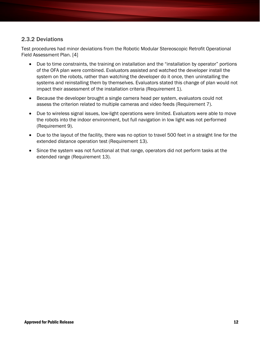## <span id="page-18-0"></span>2.3.2 Deviations

Test procedures had minor deviations from the Robotic Modular Stereoscopic Retrofit Operational Field Assessment Plan. [\[4\]](#page-32-1)

- Due to time constraints, the training on installation and the "installation by operator" portions of the OFA plan were combined. Evaluators assisted and watched the developer install the system on the robots, rather than watching the developer do it once, then uninstalling the systems and reinstalling them by themselves. Evaluators stated this change of plan would not impact their assessment of the installation criteria (Requirement 1).
- Because the developer brought a single camera head per system, evaluators could not assess the criterion related to multiple cameras and video feeds (Requirement 7).
- Due to wireless signal issues, low-light operations were limited. Evaluators were able to move the robots into the indoor environment, but full navigation in low light was not performed (Requirement 9).
- Due to the layout of the facility, there was no option to travel 500 feet in a straight line for the extended distance operation test (Requirement 13).
- Since the system was not functional at that range, operators did not perform tasks at the extended range (Requirement 13).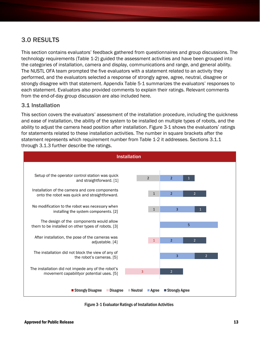# <span id="page-19-0"></span>3.0 RESULTS

This section contains evaluators' feedback gathered from questionnaires and group discussions. The technology requirements [\(Table 1-2\)](#page-9-0) guided the assessment activities and have been grouped into the categories of installation, camera and display, communications and range, and general ability. The NUSTL OFA team prompted the five evaluators with a statement related to an activity they performed, and the evaluators selected a response of strongly agree, agree, neutral, disagree or strongly disagree with that statement. Appendix [Table 5-1](#page-29-1) summarizes the evaluators' responses to each statement. Evaluators also provided comments to explain their ratings. Relevant comments from the end-of-day group discussion are also included here.

### <span id="page-19-1"></span>3.1 Installation

This section covers the evaluators' assessment of the installation procedure, including the quickness and ease of installation, the ability of the system to be installed on multiple types of robots, and the ability to adjust the camera head position after installation. [Figure 3-1](#page-19-2) shows the evaluators' ratings for statements related to these installation activities. The number in square brackets after the statement represents which requirement number from [Table 1-2](#page-9-0) it addresses. Sections [3.1.1](#page-20-0) through [3.1.3](#page-20-2) further describe the ratings.



<span id="page-19-2"></span>Figure 3-1 Evaluator Ratings of Installation Activities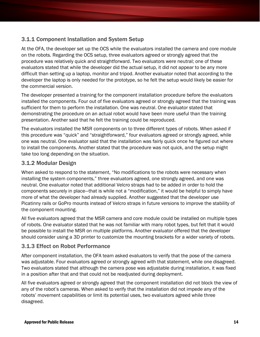# <span id="page-20-0"></span>3.1.1 Component Installation and System Setup

At the OFA, the developer set up the OCS while the evaluators installed the camera and core module on the robots. Regarding the OCS setup, three evaluators agreed or strongly agreed that the procedure was relatively quick and straightforward. Two evaluators were neutral; one of these evaluators stated that while the developer did the actual setup, it did not appear to be any more difficult than setting up a laptop, monitor and tripod. Another evaluator noted that according to the developer the laptop is only needed for the prototype, so he felt the setup would likely be easier for the commercial version.

The developer presented a training for the component installation procedure before the evaluators installed the components. Four out of five evaluators agreed or strongly agreed that the training was sufficient for them to perform the installation. One was neutral. One evaluator stated that demonstrating the procedure on an actual robot would have been more useful than the training presentation. Another said that he felt the training could be reproduced.

The evaluators installed the MSR components on to three different types of robots. When asked if this procedure was "quick" and "straightforward," four evaluators agreed or strongly agreed, while one was neutral. One evaluator said that the installation was fairly quick once he figured out where to install the components. Another stated that the procedure was not quick, and the setup might take too long depending on the situation.

## <span id="page-20-1"></span>3.1.2 Modular Design

When asked to respond to the statement, "No modifications to the robots were necessary when installing the system components," three evaluators agreed, one strongly agreed, and one was neutral. One evaluator noted that additional Velcro straps had to be added in order to hold the components securely in place—that is while not a "modification," it would be helpful to simply have more of what the developer had already supplied. Another suggested that the developer use Picatinny rails or GoPro mounts instead of Velcro straps in future versions to improve the stability of the component mounting.

All five evaluators agreed that the MSR camera and core module could be installed on multiple types of robots. One evaluator stated that he was not familiar with many robot types, but felt that it would be possible to install the MSR on multiple platforms. Another evaluator offered that the developer should consider using a 3D printer to customize the mounting brackets for a wider variety of robots.

# <span id="page-20-2"></span>3.1.3 Effect on Robot Performance

After component installation, the OFA team asked evaluators to verify that the pose of the camera was adjustable. Four evaluators agreed or strongly agreed with that statement, while one disagreed. Two evaluators stated that although the camera pose was adjustable during installation, it was fixed in a position after that and that could not be readjusted during deployment.

All five evaluators agreed or strongly agreed that the component installation did not block the view of any of the robot's cameras. When asked to verify that the installation did not impede any of the robots' movement capabilities or limit its potential uses, two evaluators agreed while three disagreed.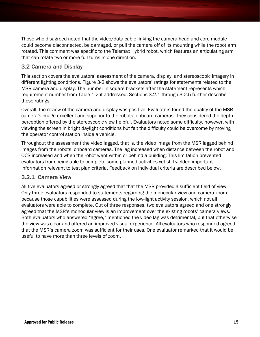Those who disagreed noted that the video/data cable linking the camera head and core module could become disconnected, be damaged, or pull the camera off of its mounting while the robot arm rotated. This comment was specific to the Telemax Hybrid robot, which features an articulating arm that can rotate two or more full turns in one direction.

## <span id="page-21-0"></span>3.2 Camera and Display

This section covers the evaluators' assessment of the camera, display, and stereoscopic imagery in different lighting conditions. [Figure 3-2](#page-22-0) shows the evaluators' ratings for statements related to the MSR camera and display. The number in square brackets after the statement represents which requirement number from [Table 1-2](#page-9-0) it addressed. Sections [3.2.1](#page-21-1) through [3.2.5](#page-23-3) further describe these ratings.

Overall, the review of the camera and display was positive. Evaluators found the quality of the MSR camera's image excellent and superior to the robots' onboard cameras. They considered the depth perception offered by the stereoscopic view helpful. Evaluators noted some difficulty, however, with viewing the screen in bright daylight conditions but felt the difficulty could be overcome by moving the operator control station inside a vehicle.

Throughout the assessment the video lagged, that is, the video image from the MSR lagged behind images from the robots' onboard cameras. The lag increased when distance between the robot and OCS increased and when the robot went within or behind a building. This limitation prevented evaluators from being able to complete some planned activities yet still yielded important information relevant to test plan criteria. Feedback on individual criteria are described below.

# <span id="page-21-1"></span>3.2.1 Camera View

All five evaluators agreed or strongly agreed that that the MSR provided a sufficient field of view. Only three evaluators responded to statements regarding the monocular view and camera zoom because those capabilities were assessed during the low-light activity session, which not all evaluators were able to complete. Out of three responses, two evaluators agreed and one strongly agreed that the MSR's monocular view is an improvement over the existing robots' camera views. Both evaluators who answered "agree," mentioned the video lag was detrimental, but that otherwise the view was clear and offered an improved visual experience. All evaluators who responded agreed that the MSR's camera zoom was sufficient for their uses. One evaluator remarked that it would be useful to have more than three levels of zoom.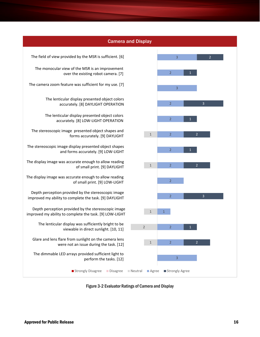

<span id="page-22-0"></span>Figure 3-2 Evaluator Ratings of Camera and Display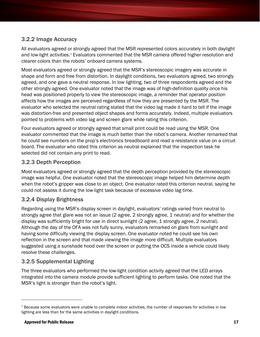# <span id="page-23-0"></span>3.2.2 Image Accuracy

All evaluators agreed or strongly agreed that the MSR represented colors accurately in both daylight and low-light activities.<sup>3</sup> Evaluators commented that the MSR camera offered higher resolution and clearer colors than the robots' onboard camera systems.

Most evaluators agreed or strongly agreed that the MSR's stereoscopic imagery was accurate in shape and form and free from distortion. In daylight conditions, two evaluators agreed, two strongly agreed, and one gave a neutral response. In low lighting, two of three respondents agreed and the other strongly agreed. One evaluator noted that the image was of high-definition quality once his head was positioned properly to view the stereoscopic image, a reminder that operator position affects how the images are perceived regardless of how they are presented by the MSR. The evaluator who selected the neutral rating stated that the video lag made it hard to tell if the image was distortion-free and presented object shapes and forms accurately. Indeed, multiple evaluators pointed to problems with video lag and screen glare while rating this criterion.

Four evaluators agreed or strongly agreed that small print could be read using the MSR. One evaluator commented that the image is much better than the robot's camera. Another remarked that he could see numbers on the prop's electronics breadboard and read a resistance value on a circuit board. The evaluator who rated this criterion as neutral explained that the inspection task he selected did not contain any print to read.

## <span id="page-23-1"></span>3.2.3 Depth Perception

Most evaluators agreed or strongly agreed that the depth perception provided by the stereoscopic image was helpful. One evaluator noted that the stereoscopic image helped him determine depth when the robot's gripper was close to an object. One evaluator rated this criterion neutral, saying he could not assess it during the low-light task because of excessive video lag time.

# <span id="page-23-2"></span>3.2.4 Display Brightness

Regarding using the MSR's display screen in daylight, evaluators' ratings varied from neutral to strongly agree that glare was not an issue (2 agree, 2 strongly agree, 1 neutral) and for whether the display was sufficiently bright for use in direct sunlight (2 agree, 1 strongly agree, 2 neutral). Although the day of the OFA was not fully sunny, evaluators remarked on glare from sunlight and having some difficulty viewing the display screen. One evaluator noted he could see his own reflection in the screen and that made viewing the image more difficult. Multiple evaluators suggested using a sunshade hood over the screen or putting the OCS inside a vehicle could likely resolve these challenges.

# <span id="page-23-3"></span>3.2.5 Supplemental Lighting

The three evaluators who performed the low-light condition activity agreed that the LED arrays integrated into the camera module provide sufficient lighting to perform tasks. One noted that the MSR's light is stronger than the robot's light.

<sup>&</sup>lt;sup>3</sup> Because some evaluators were unable to complete indoor activities, the number of responses for activities in low lighting are less than for the same activities in daylight conditions.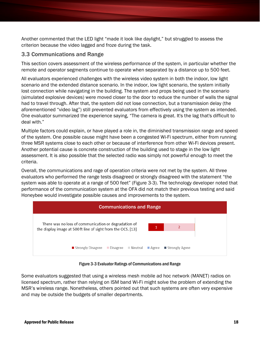Another commented that the LED light "made it look like daylight," but struggled to assess the criterion because the video lagged and froze during the task.

## <span id="page-24-0"></span>3.3 Communications and Range

This section covers assessment of the wireless performance of the system, in particular whether the remote and operator segments continue to operate when separated by a distance up to 500 feet.

All evaluators experienced challenges with the wireless video system in both the indoor, low light scenario and the extended distance scenario. In the indoor, low light scenario, the system initially lost connection while navigating in the building. The system and props being used in the scenario (simulated explosive devices) were moved closer to the door to reduce the number of walls the signal had to travel through. After that, the system did not lose connection, but a transmission delay (the aforementioned "video lag") still prevented evaluators from effectively using the system as intended. One evaluator summarized the experience saying, "The camera is great. It's the lag that's difficult to deal with."

Multiple factors could explain, or have played a role in, the diminished transmission range and speed of the system. One possible cause might have been a congested Wi-Fi spectrum, either from running three MSR systems close to each other or because of interference from other Wi-Fi devices present. Another potential cause is concrete construction of the building used to stage in the low light assessment. It is also possible that the selected radio was simply not powerful enough to meet the criteria.

Overall, the communications and rage of operation criteria were not met by the system. All three evaluators who performed the range tests disagreed or strongly disagreed with the statement "the system was able to operate at a range of 500 feet" [\(Figure 3-3\)](#page-24-1). The technology developer noted that performance of the communication system at the OFA did not match their previous testing and said Honeybee would investigate possible causes and improvements to the system.



Figure 3-3 Evaluator Ratings of Communications and Range

<span id="page-24-1"></span>Some evaluators suggested that using a wireless mesh mobile ad hoc network (MANET) radios on licensed spectrum, rather than relying on ISM band Wi-Fi might solve the problem of extending the MSR's wireless range. Nonetheless, others pointed out that such systems are often very expensive and may be outside the budgets of smaller departments.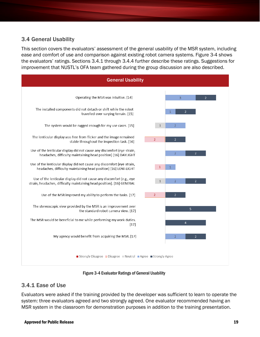# <span id="page-25-0"></span>3.4 General Usability

This section covers the evaluators' assessment of the general usability of the MSR system, including ease and comfort of use and comparison against existing robot camera systems. [Figure 3-4](#page-25-2) shows the evaluators' ratings. Sections [3.4.1](#page-25-1) through [3.4.4](#page-26-3) further describe these ratings. Suggestions for improvement that NUSTL's OFA team gathered during the group discussion are also described.



Figure 3-4 Evaluator Ratings of General Usability

## <span id="page-25-2"></span><span id="page-25-1"></span>3.4.1 Ease of Use

Evaluators were asked if the training provided by the developer was sufficient to learn to operate the system: three evaluators agreed and two strongly agreed. One evaluator recommended having an MSR system in the classroom for demonstration purposes in addition to the training presentation.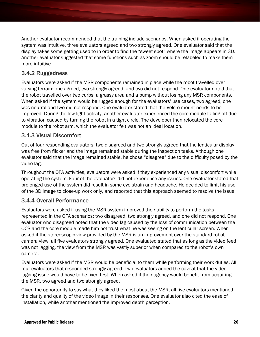<span id="page-26-3"></span>Another evaluator recommended that the training include scenarios. When asked if operating the system was intuitive, three evaluators agreed and two strongly agreed. One evaluator said that the display takes some getting used to in order to find the "sweet spot" where the image appears in 3D. Another evaluator suggested that some functions such as zoom should be relabeled to make them more intuitive.

## <span id="page-26-0"></span>3.4.2 Ruggedness

Evaluators were asked if the MSR components remained in place while the robot travelled over varying terrain: one agreed, two strongly agreed, and two did not respond. One evaluator noted that the robot travelled over two curbs, a grassy area and a bump without losing any MSR components. When asked if the system would be rugged enough for the evaluators' use cases, two agreed, one was neutral and two did not respond. One evaluator stated that the Velcro mount needs to be improved. During the low-light activity, another evaluator experienced the core module falling off due to vibration caused by turning the robot in a tight circle. The developer then relocated the core module to the robot arm, which the evaluator felt was not an ideal location.

## <span id="page-26-1"></span>3.4.3 Visual Discomfort

Out of four responding evaluators, two disagreed and two strongly agreed that the lenticular display was free from flicker and the image remained stable during the inspection tasks. Although one evaluator said that the image remained stable, he chose "disagree" due to the difficulty posed by the video lag.

Throughout the OFA activities, evaluators were asked if they experienced any visual discomfort while operating the system. Four of the evaluators did not experience any issues. One evaluator stated that prolonged use of the system did result in some eye strain and headache. He decided to limit his use of the 3D image to close-up work only, and reported that this approach seemed to resolve the issue.

# <span id="page-26-2"></span>3.4.4 Overall Performance

Evaluators were asked if using the MSR system improved their ability to perform the tasks represented in the OFA scenarios; two disagreed, two strongly agreed, and one did not respond. One evaluator who disagreed noted that the video lag caused by the loss of communication between the OCS and the core module made him not trust what he was seeing on the lenticular screen. When asked if the stereoscopic view provided by the MSR is an improvement over the standard robot camera view, all five evaluators strongly agreed. One evaluated stated that as long as the video feed was not lagging, the view from the MSR was vastly superior when compared to the robot's own camera.

Evaluators were asked if the MSR would be beneficial to them while performing their work duties. All four evaluators that responded strongly agreed. Two evaluators added the caveat that the video lagging issue would have to be fixed first. When asked if their agency would benefit from acquiring the MSR, two agreed and two strongly agreed.

Given the opportunity to say what they liked the most about the MSR, all five evaluators mentioned the clarity and quality of the video image in their responses. One evaluator also cited the ease of installation, while another mentioned the improved depth perception.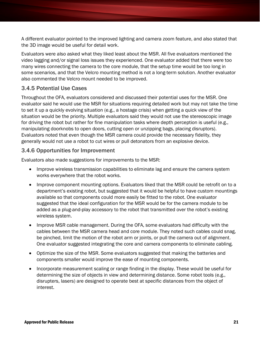A different evaluator pointed to the improved lighting and camera zoom feature, and also stated that the 3D image would be useful for detail work.

Evaluators were also asked what they liked least about the MSR. All five evaluators mentioned the video lagging and/or signal loss issues they experienced. One evaluator added that there were too many wires connecting the camera to the core module, that the setup time would be too long in some scenarios, and that the Velcro mounting method is not a long-term solution. Another evaluator also commented the Velcro mount needed to be improved.

# <span id="page-27-0"></span>3.4.5 Potential Use Cases

Throughout the OFA, evaluators considered and discussed their potential uses for the MSR. One evaluator said he would use the MSR for situations requiring detailed work but may not take the time to set it up a quickly evolving situation (e.g., a hostage crisis) when getting a quick view of the situation would be the priority. Multiple evaluators said they would not use the stereoscopic image for driving the robot but rather for fine manipulation tasks where depth perception is useful (e.g., manipulating doorknobs to open doors, cutting open or unzipping bags, placing disruptors). Evaluators noted that even though the MSR camera could provide the necessary fidelity, they generally would not use a robot to cut wires or pull detonators from an explosive device.

# <span id="page-27-1"></span>3.4.6 Opportunities for Improvement

Evaluators also made suggestions for improvements to the MSR:

- Improve wireless transmission capabilities to eliminate lag and ensure the camera system works everywhere that the robot works.
- Improve component mounting options. Evaluators liked that the MSR could be retrofit on to a department's existing robot, but suggested that it would be helpful to have custom mountings available so that components could more easily be fitted to the robot. One evaluator suggested that the ideal configuration for the MSR would be for the camera module to be added as a plug-and-play accessory to the robot that transmitted over the robot's existing wireless system.
- Improve MSR cable management. During the OFA, some evaluators had difficulty with the cables between the MSR camera head and core module. They noted such cables could snag, be pinched, limit the motion of the robot arm or joints, or pull the camera out of alignment. One evaluator suggested integrating the core and camera components to eliminate cabling.
- Optimize the size of the MSR. Some evaluators suggested that making the batteries and components smaller would improve the ease of mounting components.
- Incorporate measurement scaling or range finding in the display. These would be useful for determining the size of objects in view and determining distance. Some robot tools (e.g., disrupters, lasers) are designed to operate best at specific distances from the object of interest.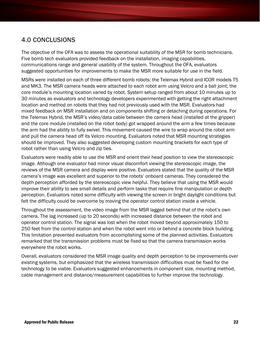# <span id="page-28-0"></span>4.0 CONCLUSIONS

The objective of the OFA was to assess the operational suitability of the MSR for bomb technicians. Five bomb tech evaluators provided feedback on the installation, imaging capabilities, communications range and general usability of the system. Throughout the OFA, evaluators suggested opportunities for improvements to make the MSR more suitable for use in the field.

MSRs were installed on each of three different bomb robots: the Telemax Hybrid and ICOR models T5 and MK3. The MSR camera heads were attached to each robot arm using Velcro and a ball joint; the core module's mounting location varied by robot. System setup ranged from about 10 minutes up to 30 minutes as evaluators and technology developers experimented with getting the right attachment location and method on robots that they had not previously used with the MSR. Evaluators had mixed feedback on MSR installation and on components shifting or detaching during operations. For the Telemax Hybrid, the MSR's video/data cable between the camera head (installed at the gripper) and the core module (installed on the robot body) got wrapped around the arm a few times because the arm had the ability to fully swivel. This movement caused the wire to wrap around the robot arm and pull the camera head off its Velcro mounting. Evaluators noted that MSR mounting strategies should be improved. They also suggested developing custom mounting brackets for each type of robot rather than using Velcro and zip ties.

Evaluators were readily able to use the MSR and orient their head position to view the stereoscopic image. Although one evaluator had minor visual discomfort viewing the stereoscopic image, the reviews of the MSR camera and display were positive. Evaluators stated that the quality of the MSR camera's image was excellent and superior to the robots' onboard cameras. They considered the depth perception afforded by the stereoscopic view helpful. They believe that using the MSR would improve their ability to see small details and perform tasks that require fine manipulation or depth perception. Evaluators noted some difficulty with viewing the screen in bright daylight conditions but felt the difficulty could be overcome by moving the operator control station inside a vehicle.

Throughout the assessment, the video image from the MSR lagged behind that of the robot's own camera. The lag increased (up to 20 seconds) with increased distance between the robot and operator control station. The signal was lost when the robot moved beyond approximately 150 to 250 feet from the control station and when the robot went into or behind a concrete block building. This limitation prevented evaluators from accomplishing some of the planned activities. Evaluators remarked that the transmission problems must be fixed so that the camera transmission works everywhere the robot works.

Overall, evaluators considered the MSR image quality and depth perception to be improvements over existing systems, but emphasized that the wireless transmission difficulties must be fixed for the technology to be viable. Evaluators suggested enhancements in component size, mounting method, cable management and distance/measurement capabilities to further improve the technology.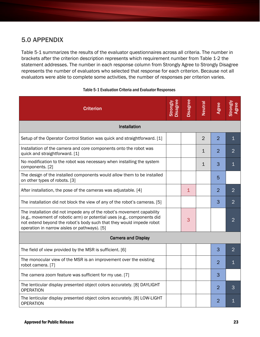# <span id="page-29-0"></span>5.0 APPENDIX

[Table 5-1](#page-29-1) summarizes the results of the evaluator questionnaires across all criteria. The number in brackets after the criterion description represents which requirement number from [Table 1-2](#page-9-0) the statement addresses. The number in each response column from Strongly Agree to Strongly Disagree represents the number of evaluators who selected that response for each criterion. Because not all evaluators were able to complete some activities, the number of responses per criterion varies.

<span id="page-29-1"></span>

| <b>Criterion</b>                                                                                                                                                                                                                                                          | Disagree<br><b>Strongly</b> | <b>Disagree</b> | Neutral        | Agree          | Strongly<br>Agree |
|---------------------------------------------------------------------------------------------------------------------------------------------------------------------------------------------------------------------------------------------------------------------------|-----------------------------|-----------------|----------------|----------------|-------------------|
| Installation                                                                                                                                                                                                                                                              |                             |                 |                |                |                   |
| Setup of the Operator Control Station was quick and straightforward. [1]                                                                                                                                                                                                  |                             |                 | $\overline{2}$ | $\overline{2}$ | $\mathbf{1}$      |
| Installation of the camera and core components onto the robot was<br>quick and straightforward. [1]                                                                                                                                                                       |                             |                 | $\mathbf{1}$   | $\overline{2}$ | $\overline{2}$    |
| No modification to the robot was necessary when installing the system<br>components. [2]                                                                                                                                                                                  |                             |                 | $\mathbf 1$    | 3              | 1                 |
| The design of the installed components would allow them to be installed<br>on other types of robots. [3]                                                                                                                                                                  |                             |                 |                | 5              |                   |
| After installation, the pose of the cameras was adjustable. [4]                                                                                                                                                                                                           |                             | 1               |                | $\overline{2}$ | $\overline{2}$    |
| The installation did not block the view of any of the robot's cameras. [5]                                                                                                                                                                                                |                             |                 |                | 3              | $\overline{2}$    |
| The installation did not impede any of the robot's movement capability<br>(e.g., movement of robotic arm) or potential uses (e.g., components did<br>not extend beyond the robot's body such that they would impede robot<br>operation in narrow aisles or pathways). [5] |                             | 3               |                |                | $\overline{2}$    |
| <b>Camera and Display</b>                                                                                                                                                                                                                                                 |                             |                 |                |                |                   |
| The field of view provided by the MSR is sufficient. [6]                                                                                                                                                                                                                  |                             |                 |                | 3              | $\overline{2}$    |
| The monocular view of the MSR is an improvement over the existing<br>robot camera. [7]                                                                                                                                                                                    |                             |                 |                | $\overline{2}$ | 1                 |
| The camera zoom feature was sufficient for my use. [7]                                                                                                                                                                                                                    |                             |                 |                | 3              |                   |
| The lenticular display presented object colors accurately. [8] DAYLIGHT<br><b>OPERATION</b>                                                                                                                                                                               |                             |                 |                | $\overline{2}$ | 3                 |
| The lenticular display presented object colors accurately. [8] LOW-LIGHT<br><b>OPERATION</b>                                                                                                                                                                              |                             |                 |                | $\overline{2}$ |                   |

#### Table 5-1 Evaluation Criteria and Evaluator Responses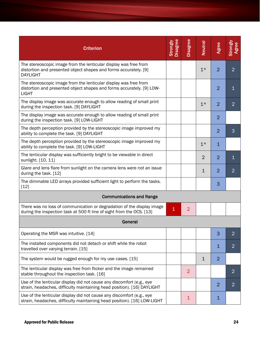| <b>Criterion</b>                                                                                                                                          | <b>Disagree</b><br><b>Strongly</b> | Disagree       | Neutral        | Agree          | Strongly<br>Agree |  |  |  |
|-----------------------------------------------------------------------------------------------------------------------------------------------------------|------------------------------------|----------------|----------------|----------------|-------------------|--|--|--|
| The stereoscopic image from the lenticular display was free from<br>distortion and presented object shapes and forms accurately. [9]<br><b>DAYLIGHT</b>   |                                    |                | $1*$           | $\overline{2}$ | $\overline{2}$    |  |  |  |
| The stereoscopic image from the lenticular display was free from<br>distortion and presented object shapes and forms accurately. [9] LOW-<br><b>LIGHT</b> |                                    |                |                | $\overline{2}$ | 1                 |  |  |  |
| The display image was accurate enough to allow reading of small print<br>during the inspection task. [9] DAYLIGHT                                         |                                    |                | $1*$           | $\overline{2}$ | $\overline{2}$    |  |  |  |
| The display image was accurate enough to allow reading of small print<br>during the inspection task. [9] LOW-LIGHT                                        |                                    |                |                | $\overline{2}$ |                   |  |  |  |
| The depth perception provided by the stereoscopic image improved my<br>ability to complete the task. [9] DAYLIGHT                                         |                                    |                |                | $\overline{2}$ | 3                 |  |  |  |
| The depth perception provided by the stereoscopic image improved my<br>ability to complete the task. [9] LOW-LIGHT                                        |                                    |                | $1*$           | $\mathbf{1}$   |                   |  |  |  |
| The lenticular display was sufficiently bright to be viewable in direct<br>sunlight. [10, 11]                                                             |                                    |                | $\overline{2}$ | $\overline{2}$ | 1                 |  |  |  |
| Glare and lens flare from sunlight on the camera lens were not an issue<br>during the task. [12]                                                          |                                    |                | $\mathbf 1$    | $\overline{2}$ | $\overline{2}$    |  |  |  |
| The dimmable LED arrays provided sufficient light to perform the tasks.<br>$[12]$                                                                         |                                    |                |                | 3              |                   |  |  |  |
| <b>Communications and Range</b>                                                                                                                           |                                    |                |                |                |                   |  |  |  |
| There was no loss of communication or degradation of the display image<br>during the inspection task at 500 ft line of sight from the OCS. [13]           | $\mathbf{1}$                       | $\overline{2}$ |                |                |                   |  |  |  |
| General                                                                                                                                                   |                                    |                |                |                |                   |  |  |  |
| Operating the MSR was intuitive. [14]                                                                                                                     |                                    |                |                | 3              | $\overline{2}$    |  |  |  |
| The installed components did not detach or shift while the robot<br>travelled over varying terrain. [15]                                                  |                                    |                |                | $\mathbf{1}$   | $\overline{2}$    |  |  |  |
| The system would be rugged enough for my use cases. [15]                                                                                                  |                                    |                | $\mathbf{1}$   | $\overline{2}$ |                   |  |  |  |
| The lenticular display was free from flicker and the image remained<br>stable throughout the inspection task. [16]                                        |                                    | $\overline{2}$ |                |                | $\overline{2}$    |  |  |  |
| Use of the lenticular display did not cause any discomfort (e.g., eye<br>strain, headaches, difficulty maintaining head position). [16] DAYLIGHT          |                                    |                |                | $\overline{2}$ | $\overline{2}$    |  |  |  |
| Use of the lenticular display did not cause any discomfort (e.g., eye<br>strain, headaches, difficulty maintaining head position). [16] LOW-LIGHT         |                                    | $\mathbf 1$    |                | $\mathbf{1}$   |                   |  |  |  |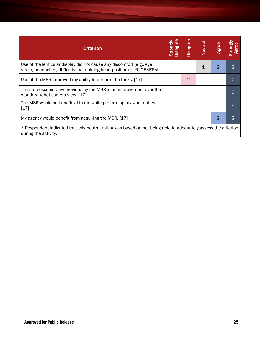| <b>Criterion</b>                                                                                                                                | <b>Disagree</b><br>Strongly | Disagree       | Neutra | Agree | Strongly<br>Agree |  |  |  |
|-------------------------------------------------------------------------------------------------------------------------------------------------|-----------------------------|----------------|--------|-------|-------------------|--|--|--|
| Use of the lenticular display did not cause any discomfort (e.g., eye<br>strain, headaches, difficulty maintaining head position). [16] GENERAL |                             |                |        | 2     | 2                 |  |  |  |
| Use of the MSR improved my ability to perform the tasks. [17]                                                                                   |                             | $\overline{2}$ |        |       | $\overline{2}$    |  |  |  |
| The stereoscopic view provided by the MSR is an improvement over the<br>standard robot camera view. [17]                                        |                             |                |        |       | 5                 |  |  |  |
| The MSR would be beneficial to me while performing my work duties.<br>[17]                                                                      |                             |                |        |       | 4                 |  |  |  |
| My agency would benefit from acquiring the MSR. [17]                                                                                            |                             |                |        | 2     | 2                 |  |  |  |
| * Respondent indicated that this neutral rating was based on not being able to adequately assess the criterion<br>during the activity.          |                             |                |        |       |                   |  |  |  |